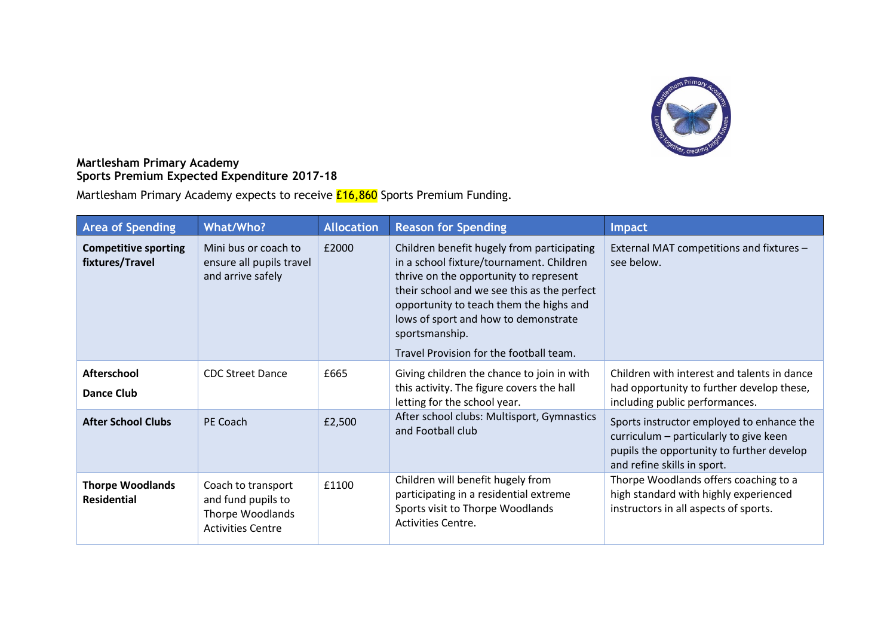

## **Martlesham Primary Academy Sports Premium Expected Expenditure 2017-18**

Martlesham Primary Academy expects to receive **£16,860** Sports Premium Funding.

| <b>Area of Spending</b>                        | What/Who?                                                                                       | <b>Allocation</b> | <b>Reason for Spending</b>                                                                                                                                                                                                                                                                                                      | Impact                                                                                                                                                          |
|------------------------------------------------|-------------------------------------------------------------------------------------------------|-------------------|---------------------------------------------------------------------------------------------------------------------------------------------------------------------------------------------------------------------------------------------------------------------------------------------------------------------------------|-----------------------------------------------------------------------------------------------------------------------------------------------------------------|
| <b>Competitive sporting</b><br>fixtures/Travel | Mini bus or coach to<br>ensure all pupils travel<br>and arrive safely                           | £2000             | Children benefit hugely from participating<br>in a school fixture/tournament. Children<br>thrive on the opportunity to represent<br>their school and we see this as the perfect<br>opportunity to teach them the highs and<br>lows of sport and how to demonstrate<br>sportsmanship.<br>Travel Provision for the football team. | External MAT competitions and fixtures -<br>see below.                                                                                                          |
| <b>Afterschool</b><br><b>Dance Club</b>        | <b>CDC Street Dance</b>                                                                         | £665              | Giving children the chance to join in with<br>this activity. The figure covers the hall<br>letting for the school year.                                                                                                                                                                                                         | Children with interest and talents in dance<br>had opportunity to further develop these,<br>including public performances.                                      |
| <b>After School Clubs</b>                      | PE Coach                                                                                        | £2,500            | After school clubs: Multisport, Gymnastics<br>and Football club                                                                                                                                                                                                                                                                 | Sports instructor employed to enhance the<br>curriculum - particularly to give keen<br>pupils the opportunity to further develop<br>and refine skills in sport. |
| <b>Thorpe Woodlands</b><br><b>Residential</b>  | Coach to transport<br>and fund pupils to<br><b>Thorpe Woodlands</b><br><b>Activities Centre</b> | £1100             | Children will benefit hugely from<br>participating in a residential extreme<br>Sports visit to Thorpe Woodlands<br><b>Activities Centre.</b>                                                                                                                                                                                    | Thorpe Woodlands offers coaching to a<br>high standard with highly experienced<br>instructors in all aspects of sports.                                         |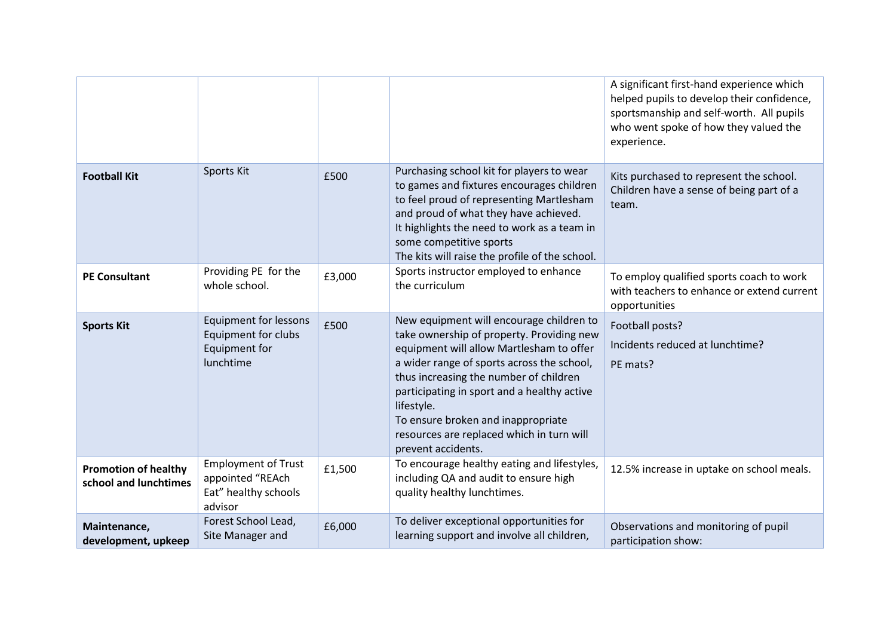|                                                      |                                                                                          |        |                                                                                                                                                                                                                                                                                                                                                                                                 | A significant first-hand experience which<br>helped pupils to develop their confidence,<br>sportsmanship and self-worth. All pupils<br>who went spoke of how they valued the<br>experience. |
|------------------------------------------------------|------------------------------------------------------------------------------------------|--------|-------------------------------------------------------------------------------------------------------------------------------------------------------------------------------------------------------------------------------------------------------------------------------------------------------------------------------------------------------------------------------------------------|---------------------------------------------------------------------------------------------------------------------------------------------------------------------------------------------|
| <b>Football Kit</b>                                  | Sports Kit                                                                               | £500   | Purchasing school kit for players to wear<br>to games and fixtures encourages children<br>to feel proud of representing Martlesham<br>and proud of what they have achieved.<br>It highlights the need to work as a team in<br>some competitive sports<br>The kits will raise the profile of the school.                                                                                         | Kits purchased to represent the school.<br>Children have a sense of being part of a<br>team.                                                                                                |
| <b>PE Consultant</b>                                 | Providing PE for the<br>whole school.                                                    | £3,000 | Sports instructor employed to enhance<br>the curriculum                                                                                                                                                                                                                                                                                                                                         | To employ qualified sports coach to work<br>with teachers to enhance or extend current<br>opportunities                                                                                     |
| <b>Sports Kit</b>                                    | <b>Equipment for lessons</b><br><b>Equipment for clubs</b><br>Equipment for<br>lunchtime | £500   | New equipment will encourage children to<br>take ownership of property. Providing new<br>equipment will allow Martlesham to offer<br>a wider range of sports across the school,<br>thus increasing the number of children<br>participating in sport and a healthy active<br>lifestyle.<br>To ensure broken and inappropriate<br>resources are replaced which in turn will<br>prevent accidents. | Football posts?<br>Incidents reduced at lunchtime?<br>PE mats?                                                                                                                              |
| <b>Promotion of healthy</b><br>school and lunchtimes | <b>Employment of Trust</b><br>appointed "REAch<br>Eat" healthy schools<br>advisor        | £1,500 | To encourage healthy eating and lifestyles,<br>including QA and audit to ensure high<br>quality healthy lunchtimes.                                                                                                                                                                                                                                                                             | 12.5% increase in uptake on school meals.                                                                                                                                                   |
| Maintenance,<br>development, upkeep                  | Forest School Lead,<br>Site Manager and                                                  | £6,000 | To deliver exceptional opportunities for<br>learning support and involve all children,                                                                                                                                                                                                                                                                                                          | Observations and monitoring of pupil<br>participation show:                                                                                                                                 |